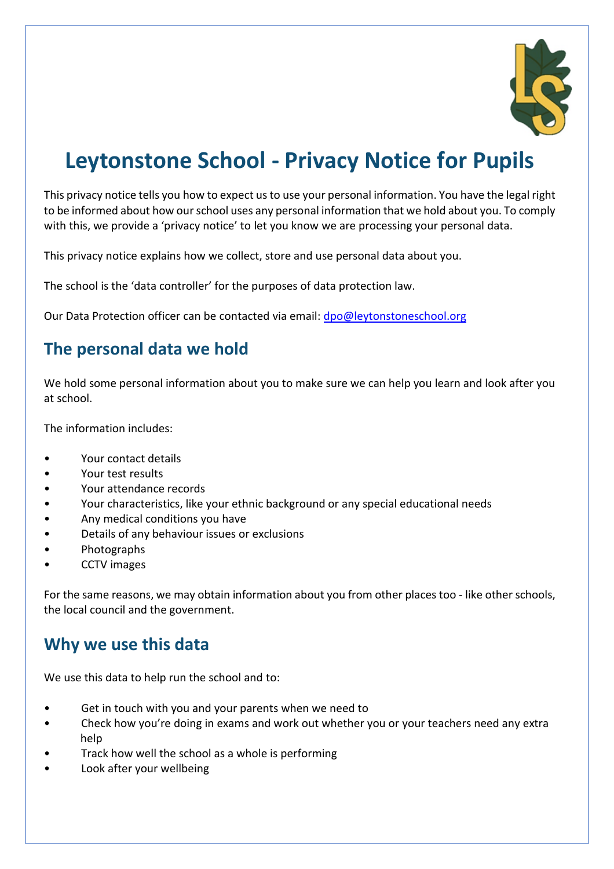

# **Leytonstone School - Privacy Notice for Pupils**

This privacy notice tells you how to expect us to use your personal information. You have the legal right to be informed about how our school uses any personal information that we hold about you. To comply with this, we provide a 'privacy notice' to let you know we are processing your personal data.

This privacy notice explains how we collect, store and use personal data about you.

The school is the 'data controller' for the purposes of data protection law.

Our Data Protection officer can be contacted via email: [dpo@leytonstoneschool.org](mailto:dpo@leytonstoneschool.org)

# **The personal data we hold**

We hold some personal information about you to make sure we can help you learn and look after you at school.

The information includes:

- Your contact details
- Your test results
- Your attendance records
- Your characteristics, like your ethnic background or any special educational needs
- Any medical conditions you have
- Details of any behaviour issues or exclusions
- Photographs
- CCTV images

For the same reasons, we may obtain information about you from other places too - like other schools, the local council and the government.

### **Why we use this data**

We use this data to help run the school and to:

- Get in touch with you and your parents when we need to
- Check how you're doing in exams and work out whether you or your teachers need any extra help
- Track how well the school as a whole is performing
- Look after your wellbeing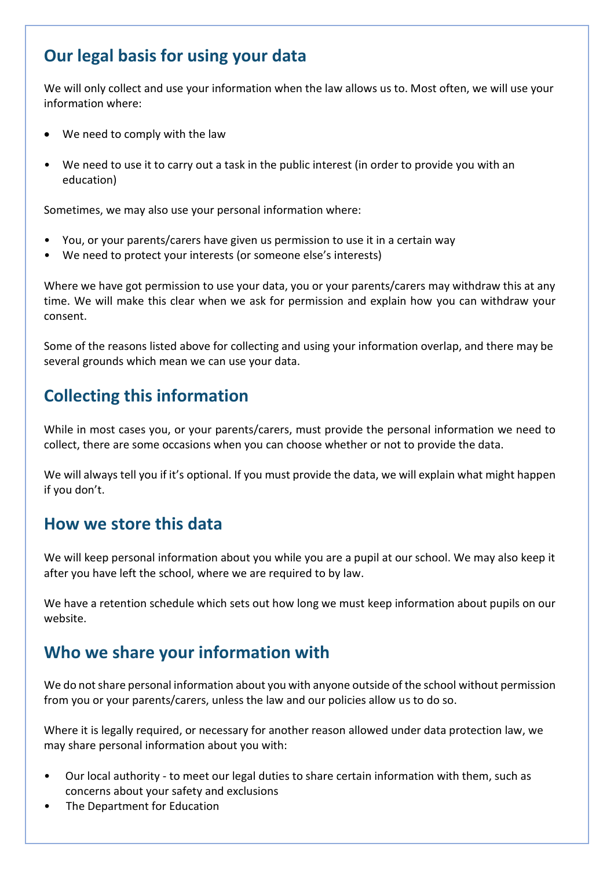# **Our legal basis for using your data**

We will only collect and use your information when the law allows us to. Most often, we will use your information where:

- We need to comply with the law
- We need to use it to carry out a task in the public interest (in order to provide you with an education)

Sometimes, we may also use your personal information where:

- You, or your parents/carers have given us permission to use it in a certain way
- We need to protect your interests (or someone else's interests)

Where we have got permission to use your data, you or your parents/carers may withdraw this at any time. We will make this clear when we ask for permission and explain how you can withdraw your consent.

Some of the reasons listed above for collecting and using your information overlap, and there may be several grounds which mean we can use your data.

# **Collecting this information**

While in most cases you, or your parents/carers, must provide the personal information we need to collect, there are some occasions when you can choose whether or not to provide the data.

We will always tell you if it's optional. If you must provide the data, we will explain what might happen if you don't.

### **How we store this data**

We will keep personal information about you while you are a pupil at our school. We may also keep it after you have left the school, where we are required to by law.

We have a retention schedule which sets out how long we must keep information about pupils on our website.

# **Who we share your information with**

We do not share personal information about you with anyone outside of the school without permission from you or your parents/carers, unless the law and our policies allow us to do so.

Where it is legally required, or necessary for another reason allowed under data protection law, we may share personal information about you with:

- Our local authority to meet our legal duties to share certain information with them, such as concerns about your safety and exclusions
- The Department for Education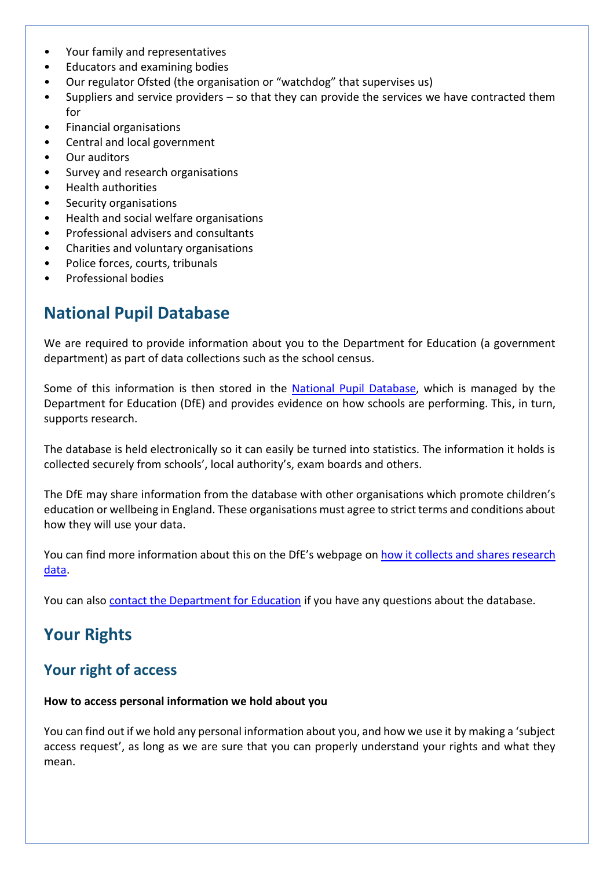- Your family and representatives
- Educators and examining bodies
- Our regulator Ofsted (the organisation or "watchdog" that supervises us)
- Suppliers and service providers so that they can provide the services we have contracted them for
- Financial organisations
- Central and local government
- Our auditors
- Survey and research organisations
- Health authorities
- Security organisations
- Health and social welfare organisations
- Professional advisers and consultants
- Charities and voluntary organisations
- Police forces, courts, tribunals
- Professional bodies

### **National Pupil Database**

We are required to provide information about you to the Department for Education (a government department) as part of data collections such as the school census.

Some of this information is then stored in the [National Pupil Database,](https://www.gov.uk/government/publications/national-pupil-database-user-guide-and-supporting-information) which is managed by the Department for Education (DfE) and provides evidence on how schools are performing. This, in turn, supports research.

The database is held electronically so it can easily be turned into statistics. The information it holds is collected securely from schools', local authority's, exam boards and others.

The DfE may share information from the database with other organisations which promote children's education or wellbeing in England. These organisations must agree to strict terms and conditions about how they will use your data.

You can find more information about this on the DfE's webpage on [how it collects and shares research](https://www.gov.uk/data-protection-how-we-collect-and-share-research-data)  [data.](https://www.gov.uk/data-protection-how-we-collect-and-share-research-data)

You can also [contact the Department for Education](https://www.gov.uk/contact-dfe) if you have any questions about the database.

# **Your Rights**

#### **Your right of access**

#### **How to access personal information we hold about you**

You can find out if we hold any personal information about you, and how we use it by making a 'subject access request', as long as we are sure that you can properly understand your rights and what they mean.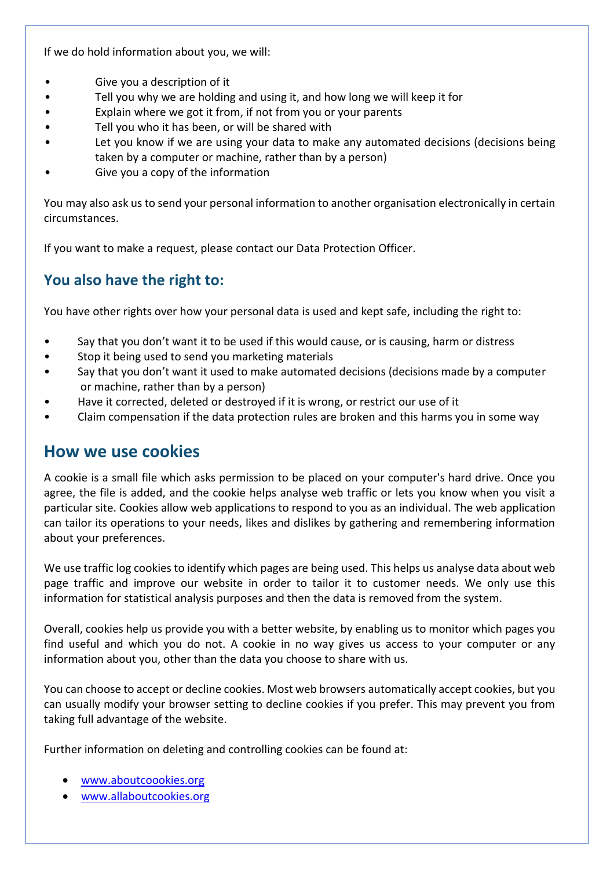If we do hold information about you, we will:

- Give you a description of it
- Tell you why we are holding and using it, and how long we will keep it for
- Explain where we got it from, if not from you or your parents
- Tell you who it has been, or will be shared with
- Let you know if we are using your data to make any automated decisions (decisions being taken by a computer or machine, rather than by a person)
- Give you a copy of the information

You may also ask us to send your personal information to another organisation electronically in certain circumstances.

If you want to make a request, please contact our Data Protection Officer.

#### **You also have the right to:**

You have other rights over how your personal data is used and kept safe, including the right to:

- Say that you don't want it to be used if this would cause, or is causing, harm or distress
- Stop it being used to send you marketing materials
- Say that you don't want it used to make automated decisions (decisions made by a computer or machine, rather than by a person)
- Have it corrected, deleted or destroyed if it is wrong, or restrict our use of it
- Claim compensation if the data protection rules are broken and this harms you in some way

#### **How we use cookies**

A cookie is a small file which asks permission to be placed on your computer's hard drive. Once you agree, the file is added, and the cookie helps analyse web traffic or lets you know when you visit a particular site. Cookies allow web applications to respond to you as an individual. The web application can tailor its operations to your needs, likes and dislikes by gathering and remembering information about your preferences.

We use traffic log cookies to identify which pages are being used. This helps us analyse data about web page traffic and improve our website in order to tailor it to customer needs. We only use this information for statistical analysis purposes and then the data is removed from the system.

Overall, cookies help us provide you with a better website, by enabling us to monitor which pages you find useful and which you do not. A cookie in no way gives us access to your computer or any information about you, other than the data you choose to share with us.

You can choose to accept or decline cookies. Most web browsers automatically accept cookies, but you can usually modify your browser setting to decline cookies if you prefer. This may prevent you from taking full advantage of the website.

Further information on deleting and controlling cookies can be found at:

- [www.aboutcoookies.org](http://www.aboutcoookies.org/)
- [www.allaboutcookies.org](http://www.allaboutcookies.org/)